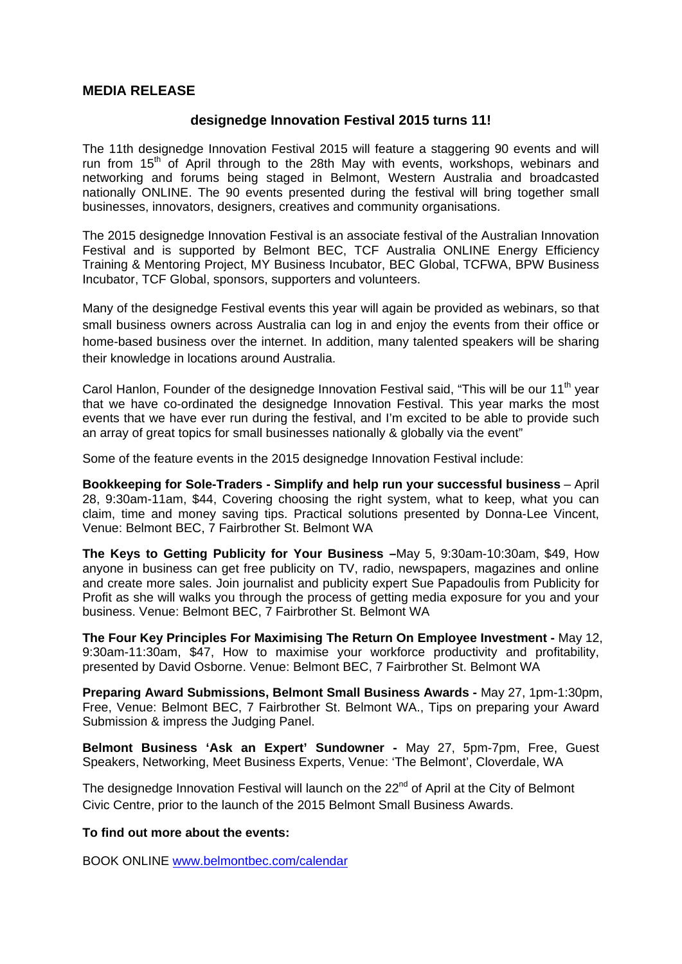## **MEDIA RELEASE**

## **designedge Innovation Festival 2015 turns 11!**

The 11th designedge Innovation Festival 2015 will feature a staggering 90 events and will run from  $15<sup>th</sup>$  of April through to the 28th May with events, workshops, webinars and networking and forums being staged in Belmont, Western Australia and broadcasted nationally ONLINE. The 90 events presented during the festival will bring together small businesses, innovators, designers, creatives and community organisations.

The 2015 designedge Innovation Festival is an associate festival of the Australian Innovation Festival and is supported by Belmont BEC, TCF Australia ONLINE Energy Efficiency Training & Mentoring Project, MY Business Incubator, BEC Global, TCFWA, BPW Business Incubator, TCF Global, sponsors, supporters and volunteers.

Many of the designedge Festival events this year will again be provided as webinars, so that small business owners across Australia can log in and enjoy the events from their office or home-based business over the internet. In addition, many talented speakers will be sharing their knowledge in locations around Australia.

Carol Hanlon, Founder of the designedge Innovation Festival said, "This will be our 11<sup>th</sup> year that we have co-ordinated the designedge Innovation Festival. This year marks the most events that we have ever run during the festival, and I'm excited to be able to provide such an array of great topics for small businesses nationally & globally via the event"

Some of the feature events in the 2015 designedge Innovation Festival include:

**Bookkeeping for Sole-Traders - Simplify and help run your successful business** – April 28, 9:30am-11am, \$44, Covering choosing the right system, what to keep, what you can claim, time and money saving tips. Practical solutions presented by Donna-Lee Vincent, Venue: Belmont BEC, 7 Fairbrother St. Belmont WA

**The Keys to Getting Publicity for Your Business –**May 5, 9:30am-10:30am, \$49, How anyone in business can get free publicity on TV, radio, newspapers, magazines and online and create more sales. Join journalist and publicity expert Sue Papadoulis from Publicity for Profit as she will walks you through the process of getting media exposure for you and your business. Venue: Belmont BEC, 7 Fairbrother St. Belmont WA

**The Four Key Principles For Maximising The Return On Employee Investment -** May 12, 9:30am-11:30am, \$47, How to maximise your workforce productivity and profitability, presented by David Osborne. Venue: Belmont BEC, 7 Fairbrother St. Belmont WA

**Preparing Award Submissions, Belmont Small Business Awards -** May 27, 1pm-1:30pm, Free, Venue: Belmont BEC, 7 Fairbrother St. Belmont WA., Tips on preparing your Award Submission & impress the Judging Panel.

**Belmont Business 'Ask an Expert' Sundowner -** May 27, 5pm-7pm, Free, Guest Speakers, Networking, Meet Business Experts, Venue: 'The Belmont', Cloverdale, WA

The designedge Innovation Festival will launch on the 22<sup>nd</sup> of April at the City of Belmont Civic Centre, prior to the launch of the 2015 Belmont Small Business Awards.

## **To find out more about the events:**

BOOK ONLINE www.belmontbec.com/calendar